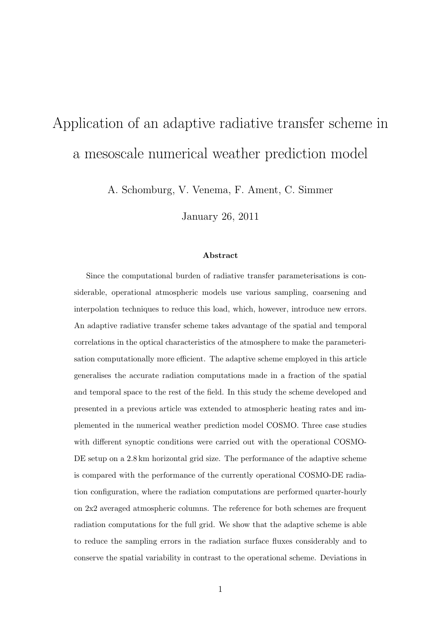# Application of an adaptive radiative transfer scheme in a mesoscale numerical weather prediction model

A. Schomburg, V. Venema, F. Ament, C. Simmer

January 26, 2011

#### Abstract

Since the computational burden of radiative transfer parameterisations is considerable, operational atmospheric models use various sampling, coarsening and interpolation techniques to reduce this load, which, however, introduce new errors. An adaptive radiative transfer scheme takes advantage of the spatial and temporal correlations in the optical characteristics of the atmosphere to make the parameterisation computationally more efficient. The adaptive scheme employed in this article generalises the accurate radiation computations made in a fraction of the spatial and temporal space to the rest of the field. In this study the scheme developed and presented in a previous article was extended to atmospheric heating rates and implemented in the numerical weather prediction model COSMO. Three case studies with different synoptic conditions were carried out with the operational COSMO-DE setup on a 2.8 km horizontal grid size. The performance of the adaptive scheme is compared with the performance of the currently operational COSMO-DE radiation configuration, where the radiation computations are performed quarter-hourly on 2x2 averaged atmospheric columns. The reference for both schemes are frequent radiation computations for the full grid. We show that the adaptive scheme is able to reduce the sampling errors in the radiation surface fluxes considerably and to conserve the spatial variability in contrast to the operational scheme. Deviations in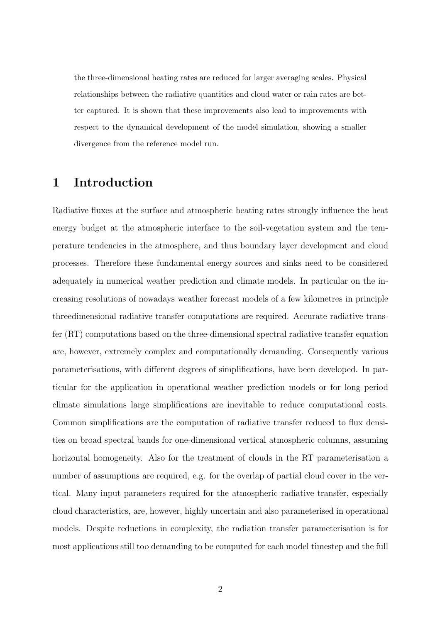the three-dimensional heating rates are reduced for larger averaging scales. Physical relationships between the radiative quantities and cloud water or rain rates are better captured. It is shown that these improvements also lead to improvements with respect to the dynamical development of the model simulation, showing a smaller divergence from the reference model run.

## 1 Introduction

Radiative fluxes at the surface and atmospheric heating rates strongly influence the heat energy budget at the atmospheric interface to the soil-vegetation system and the temperature tendencies in the atmosphere, and thus boundary layer development and cloud processes. Therefore these fundamental energy sources and sinks need to be considered adequately in numerical weather prediction and climate models. In particular on the increasing resolutions of nowadays weather forecast models of a few kilometres in principle threedimensional radiative transfer computations are required. Accurate radiative transfer (RT) computations based on the three-dimensional spectral radiative transfer equation are, however, extremely complex and computationally demanding. Consequently various parameterisations, with different degrees of simplifications, have been developed. In particular for the application in operational weather prediction models or for long period climate simulations large simplifications are inevitable to reduce computational costs. Common simplifications are the computation of radiative transfer reduced to flux densities on broad spectral bands for one-dimensional vertical atmospheric columns, assuming horizontal homogeneity. Also for the treatment of clouds in the RT parameterisation a number of assumptions are required, e.g. for the overlap of partial cloud cover in the vertical. Many input parameters required for the atmospheric radiative transfer, especially cloud characteristics, are, however, highly uncertain and also parameterised in operational models. Despite reductions in complexity, the radiation transfer parameterisation is for most applications still too demanding to be computed for each model timestep and the full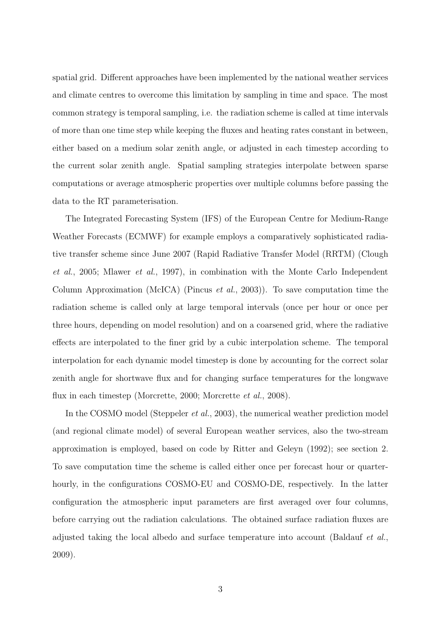spatial grid. Different approaches have been implemented by the national weather services and climate centres to overcome this limitation by sampling in time and space. The most common strategy is temporal sampling, i.e. the radiation scheme is called at time intervals of more than one time step while keeping the fluxes and heating rates constant in between, either based on a medium solar zenith angle, or adjusted in each timestep according to the current solar zenith angle. Spatial sampling strategies interpolate between sparse computations or average atmospheric properties over multiple columns before passing the data to the RT parameterisation.

The Integrated Forecasting System (IFS) of the European Centre for Medium-Range Weather Forecasts (ECMWF) for example employs a comparatively sophisticated radiative transfer scheme since June 2007 (Rapid Radiative Transfer Model (RRTM) (Clough et al., 2005; Mlawer et al., 1997), in combination with the Monte Carlo Independent Column Approximation (McICA) (Pincus et al., 2003)). To save computation time the radiation scheme is called only at large temporal intervals (once per hour or once per three hours, depending on model resolution) and on a coarsened grid, where the radiative effects are interpolated to the finer grid by a cubic interpolation scheme. The temporal interpolation for each dynamic model timestep is done by accounting for the correct solar zenith angle for shortwave flux and for changing surface temperatures for the longwave flux in each timestep (Morcrette, 2000; Morcrette *et al.*, 2008).

In the COSMO model (Steppeler *et al.*, 2003), the numerical weather prediction model (and regional climate model) of several European weather services, also the two-stream approximation is employed, based on code by Ritter and Geleyn (1992); see section 2. To save computation time the scheme is called either once per forecast hour or quarterhourly, in the configurations COSMO-EU and COSMO-DE, respectively. In the latter configuration the atmospheric input parameters are first averaged over four columns, before carrying out the radiation calculations. The obtained surface radiation fluxes are adjusted taking the local albedo and surface temperature into account (Baldauf et al., 2009).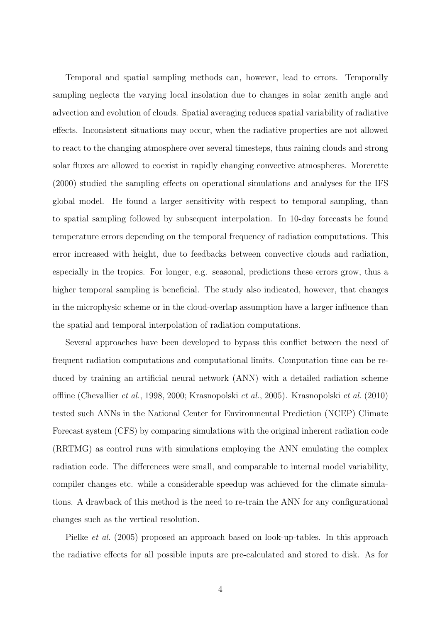Temporal and spatial sampling methods can, however, lead to errors. Temporally sampling neglects the varying local insolation due to changes in solar zenith angle and advection and evolution of clouds. Spatial averaging reduces spatial variability of radiative effects. Inconsistent situations may occur, when the radiative properties are not allowed to react to the changing atmosphere over several timesteps, thus raining clouds and strong solar fluxes are allowed to coexist in rapidly changing convective atmospheres. Morcrette (2000) studied the sampling effects on operational simulations and analyses for the IFS global model. He found a larger sensitivity with respect to temporal sampling, than to spatial sampling followed by subsequent interpolation. In 10-day forecasts he found temperature errors depending on the temporal frequency of radiation computations. This error increased with height, due to feedbacks between convective clouds and radiation, especially in the tropics. For longer, e.g. seasonal, predictions these errors grow, thus a higher temporal sampling is beneficial. The study also indicated, however, that changes in the microphysic scheme or in the cloud-overlap assumption have a larger influence than the spatial and temporal interpolation of radiation computations.

Several approaches have been developed to bypass this conflict between the need of frequent radiation computations and computational limits. Computation time can be reduced by training an artificial neural network (ANN) with a detailed radiation scheme offline (Chevallier et al., 1998, 2000; Krasnopolski et al., 2005). Krasnopolski et al. (2010) tested such ANNs in the National Center for Environmental Prediction (NCEP) Climate Forecast system (CFS) by comparing simulations with the original inherent radiation code (RRTMG) as control runs with simulations employing the ANN emulating the complex radiation code. The differences were small, and comparable to internal model variability, compiler changes etc. while a considerable speedup was achieved for the climate simulations. A drawback of this method is the need to re-train the ANN for any configurational changes such as the vertical resolution.

Pielke et al. (2005) proposed an approach based on look-up-tables. In this approach the radiative effects for all possible inputs are pre-calculated and stored to disk. As for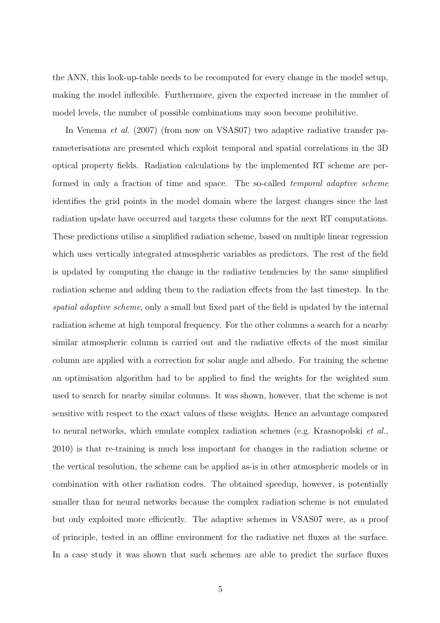the ANN, this look-up-table needs to be recomputed for every change in the model setup, making the model inflexible. Furthermore, given the expected increase in the number of model levels, the number of possible combinations may soon become prohibitive.

In Venema et al. (2007) (from now on VSAS07) two adaptive radiative transfer parameterisations are presented which exploit temporal and spatial correlations in the 3D optical property fields. Radiation calculations by the implemented RT scheme are performed in only a fraction of time and space. The so-called temporal adaptive scheme identifies the grid points in the model domain where the largest changes since the last radiation update have occurred and targets these columns for the next RT computations. These predictions utilise a simplified radiation scheme, based on multiple linear regression which uses vertically integrated atmospheric variables as predictors. The rest of the field is updated by computing the change in the radiative tendencies by the same simplified radiation scheme and adding them to the radiation effects from the last timestep. In the spatial adaptive scheme, only a small but fixed part of the field is updated by the internal radiation scheme at high temporal frequency. For the other columns a search for a nearby similar atmospheric column is carried out and the radiative effects of the most similar column are applied with a correction for solar angle and albedo. For training the scheme an optimisation algorithm had to be applied to find the weights for the weighted sum used to search for nearby similar columns. It was shown, however, that the scheme is not sensitive with respect to the exact values of these weights. Hence an advantage compared to neural networks, which emulate complex radiation schemes (e.g. Krasnopolski et al., 2010) is that re-training is much less important for changes in the radiation scheme or the vertical resolution, the scheme can be applied as-is in other atmospheric models or in combination with other radiation codes. The obtained speedup, however, is potentially smaller than for neural networks because the complex radiation scheme is not emulated but only exploited more efficiently. The adaptive schemes in VSAS07 were, as a proof of principle, tested in an offline environment for the radiative net fluxes at the surface. In a case study it was shown that such schemes are able to predict the surface fluxes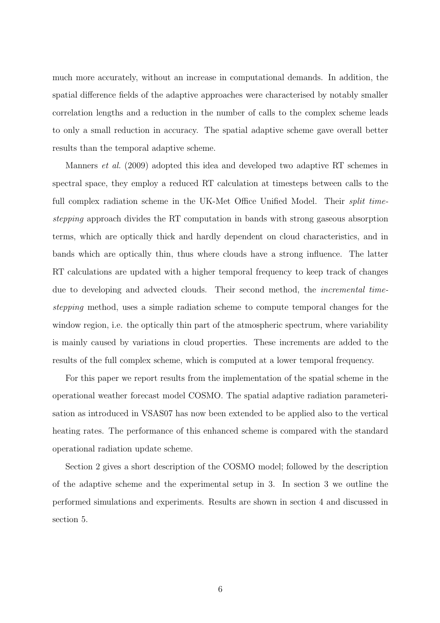much more accurately, without an increase in computational demands. In addition, the spatial difference fields of the adaptive approaches were characterised by notably smaller correlation lengths and a reduction in the number of calls to the complex scheme leads to only a small reduction in accuracy. The spatial adaptive scheme gave overall better results than the temporal adaptive scheme.

Manners et al. (2009) adopted this idea and developed two adaptive RT schemes in spectral space, they employ a reduced RT calculation at timesteps between calls to the full complex radiation scheme in the UK-Met Office Unified Model. Their *split time*stepping approach divides the RT computation in bands with strong gaseous absorption terms, which are optically thick and hardly dependent on cloud characteristics, and in bands which are optically thin, thus where clouds have a strong influence. The latter RT calculations are updated with a higher temporal frequency to keep track of changes due to developing and advected clouds. Their second method, the *incremental time*stepping method, uses a simple radiation scheme to compute temporal changes for the window region, i.e. the optically thin part of the atmospheric spectrum, where variability is mainly caused by variations in cloud properties. These increments are added to the results of the full complex scheme, which is computed at a lower temporal frequency.

For this paper we report results from the implementation of the spatial scheme in the operational weather forecast model COSMO. The spatial adaptive radiation parameterisation as introduced in VSAS07 has now been extended to be applied also to the vertical heating rates. The performance of this enhanced scheme is compared with the standard operational radiation update scheme.

Section 2 gives a short description of the COSMO model; followed by the description of the adaptive scheme and the experimental setup in 3. In section 3 we outline the performed simulations and experiments. Results are shown in section 4 and discussed in section 5.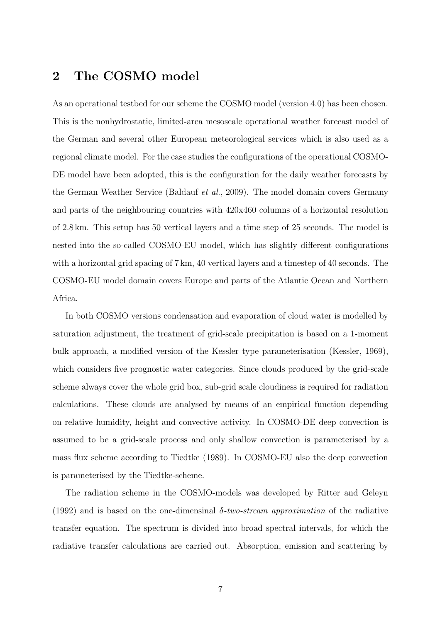## 2 The COSMO model

As an operational testbed for our scheme the COSMO model (version 4.0) has been chosen. This is the nonhydrostatic, limited-area mesoscale operational weather forecast model of the German and several other European meteorological services which is also used as a regional climate model. For the case studies the configurations of the operational COSMO-DE model have been adopted, this is the configuration for the daily weather forecasts by the German Weather Service (Baldauf et al., 2009). The model domain covers Germany and parts of the neighbouring countries with 420x460 columns of a horizontal resolution of 2.8 km. This setup has 50 vertical layers and a time step of 25 seconds. The model is nested into the so-called COSMO-EU model, which has slightly different configurations with a horizontal grid spacing of 7 km, 40 vertical layers and a timestep of 40 seconds. The COSMO-EU model domain covers Europe and parts of the Atlantic Ocean and Northern Africa.

In both COSMO versions condensation and evaporation of cloud water is modelled by saturation adjustment, the treatment of grid-scale precipitation is based on a 1-moment bulk approach, a modified version of the Kessler type parameterisation (Kessler, 1969), which considers five prognostic water categories. Since clouds produced by the grid-scale scheme always cover the whole grid box, sub-grid scale cloudiness is required for radiation calculations. These clouds are analysed by means of an empirical function depending on relative humidity, height and convective activity. In COSMO-DE deep convection is assumed to be a grid-scale process and only shallow convection is parameterised by a mass flux scheme according to Tiedtke (1989). In COSMO-EU also the deep convection is parameterised by the Tiedtke-scheme.

The radiation scheme in the COSMO-models was developed by Ritter and Geleyn (1992) and is based on the one-dimensinal  $\delta$ -two-stream approximation of the radiative transfer equation. The spectrum is divided into broad spectral intervals, for which the radiative transfer calculations are carried out. Absorption, emission and scattering by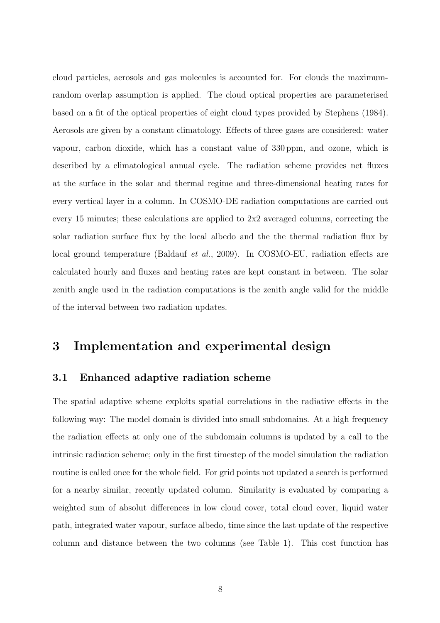cloud particles, aerosols and gas molecules is accounted for. For clouds the maximumrandom overlap assumption is applied. The cloud optical properties are parameterised based on a fit of the optical properties of eight cloud types provided by Stephens (1984). Aerosols are given by a constant climatology. Effects of three gases are considered: water vapour, carbon dioxide, which has a constant value of 330 ppm, and ozone, which is described by a climatological annual cycle. The radiation scheme provides net fluxes at the surface in the solar and thermal regime and three-dimensional heating rates for every vertical layer in a column. In COSMO-DE radiation computations are carried out every 15 minutes; these calculations are applied to 2x2 averaged columns, correcting the solar radiation surface flux by the local albedo and the the thermal radiation flux by local ground temperature (Baldauf *et al.*, 2009). In COSMO-EU, radiation effects are calculated hourly and fluxes and heating rates are kept constant in between. The solar zenith angle used in the radiation computations is the zenith angle valid for the middle of the interval between two radiation updates.

## 3 Implementation and experimental design

#### 3.1 Enhanced adaptive radiation scheme

The spatial adaptive scheme exploits spatial correlations in the radiative effects in the following way: The model domain is divided into small subdomains. At a high frequency the radiation effects at only one of the subdomain columns is updated by a call to the intrinsic radiation scheme; only in the first timestep of the model simulation the radiation routine is called once for the whole field. For grid points not updated a search is performed for a nearby similar, recently updated column. Similarity is evaluated by comparing a weighted sum of absolut differences in low cloud cover, total cloud cover, liquid water path, integrated water vapour, surface albedo, time since the last update of the respective column and distance between the two columns (see Table 1). This cost function has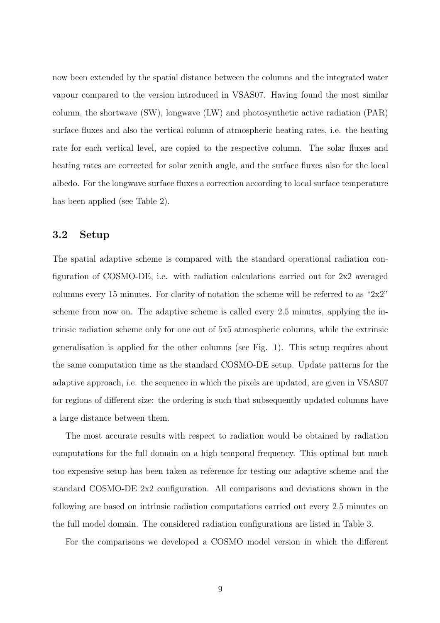now been extended by the spatial distance between the columns and the integrated water vapour compared to the version introduced in VSAS07. Having found the most similar column, the shortwave (SW), longwave (LW) and photosynthetic active radiation (PAR) surface fluxes and also the vertical column of atmospheric heating rates, i.e. the heating rate for each vertical level, are copied to the respective column. The solar fluxes and heating rates are corrected for solar zenith angle, and the surface fluxes also for the local albedo. For the longwave surface fluxes a correction according to local surface temperature has been applied (see Table 2).

### 3.2 Setup

The spatial adaptive scheme is compared with the standard operational radiation configuration of COSMO-DE, i.e. with radiation calculations carried out for 2x2 averaged columns every 15 minutes. For clarity of notation the scheme will be referred to as " $2x2$ " scheme from now on. The adaptive scheme is called every 2.5 minutes, applying the intrinsic radiation scheme only for one out of 5x5 atmospheric columns, while the extrinsic generalisation is applied for the other columns (see Fig. 1). This setup requires about the same computation time as the standard COSMO-DE setup. Update patterns for the adaptive approach, i.e. the sequence in which the pixels are updated, are given in VSAS07 for regions of different size: the ordering is such that subsequently updated columns have a large distance between them.

The most accurate results with respect to radiation would be obtained by radiation computations for the full domain on a high temporal frequency. This optimal but much too expensive setup has been taken as reference for testing our adaptive scheme and the standard COSMO-DE 2x2 configuration. All comparisons and deviations shown in the following are based on intrinsic radiation computations carried out every 2.5 minutes on the full model domain. The considered radiation configurations are listed in Table 3.

For the comparisons we developed a COSMO model version in which the different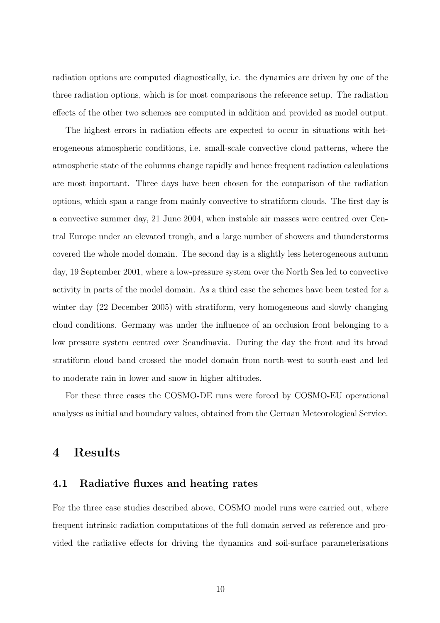radiation options are computed diagnostically, i.e. the dynamics are driven by one of the three radiation options, which is for most comparisons the reference setup. The radiation effects of the other two schemes are computed in addition and provided as model output.

The highest errors in radiation effects are expected to occur in situations with heterogeneous atmospheric conditions, i.e. small-scale convective cloud patterns, where the atmospheric state of the columns change rapidly and hence frequent radiation calculations are most important. Three days have been chosen for the comparison of the radiation options, which span a range from mainly convective to stratiform clouds. The first day is a convective summer day, 21 June 2004, when instable air masses were centred over Central Europe under an elevated trough, and a large number of showers and thunderstorms covered the whole model domain. The second day is a slightly less heterogeneous autumn day, 19 September 2001, where a low-pressure system over the North Sea led to convective activity in parts of the model domain. As a third case the schemes have been tested for a winter day (22 December 2005) with stratiform, very homogeneous and slowly changing cloud conditions. Germany was under the influence of an occlusion front belonging to a low pressure system centred over Scandinavia. During the day the front and its broad stratiform cloud band crossed the model domain from north-west to south-east and led to moderate rain in lower and snow in higher altitudes.

For these three cases the COSMO-DE runs were forced by COSMO-EU operational analyses as initial and boundary values, obtained from the German Meteorological Service.

## 4 Results

#### 4.1 Radiative fluxes and heating rates

For the three case studies described above, COSMO model runs were carried out, where frequent intrinsic radiation computations of the full domain served as reference and provided the radiative effects for driving the dynamics and soil-surface parameterisations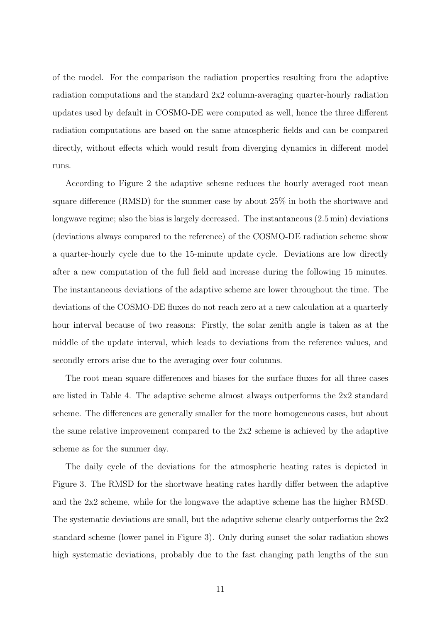of the model. For the comparison the radiation properties resulting from the adaptive radiation computations and the standard 2x2 column-averaging quarter-hourly radiation updates used by default in COSMO-DE were computed as well, hence the three different radiation computations are based on the same atmospheric fields and can be compared directly, without effects which would result from diverging dynamics in different model runs.

According to Figure 2 the adaptive scheme reduces the hourly averaged root mean square difference (RMSD) for the summer case by about 25% in both the shortwave and longwave regime; also the bias is largely decreased. The instantaneous (2.5 min) deviations (deviations always compared to the reference) of the COSMO-DE radiation scheme show a quarter-hourly cycle due to the 15-minute update cycle. Deviations are low directly after a new computation of the full field and increase during the following 15 minutes. The instantaneous deviations of the adaptive scheme are lower throughout the time. The deviations of the COSMO-DE fluxes do not reach zero at a new calculation at a quarterly hour interval because of two reasons: Firstly, the solar zenith angle is taken as at the middle of the update interval, which leads to deviations from the reference values, and secondly errors arise due to the averaging over four columns.

The root mean square differences and biases for the surface fluxes for all three cases are listed in Table 4. The adaptive scheme almost always outperforms the 2x2 standard scheme. The differences are generally smaller for the more homogeneous cases, but about the same relative improvement compared to the 2x2 scheme is achieved by the adaptive scheme as for the summer day.

The daily cycle of the deviations for the atmospheric heating rates is depicted in Figure 3. The RMSD for the shortwave heating rates hardly differ between the adaptive and the 2x2 scheme, while for the longwave the adaptive scheme has the higher RMSD. The systematic deviations are small, but the adaptive scheme clearly outperforms the 2x2 standard scheme (lower panel in Figure 3). Only during sunset the solar radiation shows high systematic deviations, probably due to the fast changing path lengths of the sun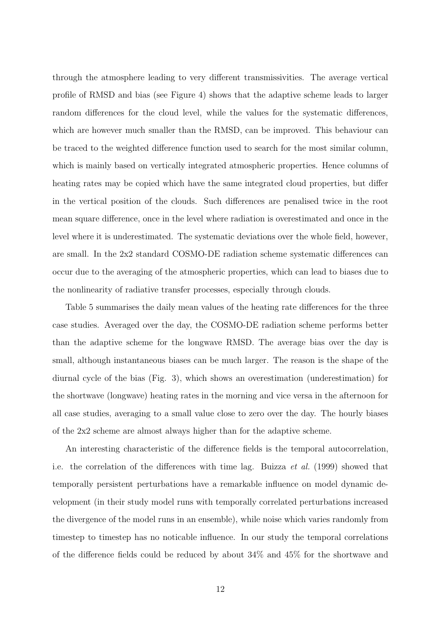through the atmosphere leading to very different transmissivities. The average vertical profile of RMSD and bias (see Figure 4) shows that the adaptive scheme leads to larger random differences for the cloud level, while the values for the systematic differences, which are however much smaller than the RMSD, can be improved. This behaviour can be traced to the weighted difference function used to search for the most similar column, which is mainly based on vertically integrated atmospheric properties. Hence columns of heating rates may be copied which have the same integrated cloud properties, but differ in the vertical position of the clouds. Such differences are penalised twice in the root mean square difference, once in the level where radiation is overestimated and once in the level where it is underestimated. The systematic deviations over the whole field, however, are small. In the 2x2 standard COSMO-DE radiation scheme systematic differences can occur due to the averaging of the atmospheric properties, which can lead to biases due to the nonlinearity of radiative transfer processes, especially through clouds.

Table 5 summarises the daily mean values of the heating rate differences for the three case studies. Averaged over the day, the COSMO-DE radiation scheme performs better than the adaptive scheme for the longwave RMSD. The average bias over the day is small, although instantaneous biases can be much larger. The reason is the shape of the diurnal cycle of the bias (Fig. 3), which shows an overestimation (underestimation) for the shortwave (longwave) heating rates in the morning and vice versa in the afternoon for all case studies, averaging to a small value close to zero over the day. The hourly biases of the 2x2 scheme are almost always higher than for the adaptive scheme.

An interesting characteristic of the difference fields is the temporal autocorrelation, i.e. the correlation of the differences with time lag. Buizza et al. (1999) showed that temporally persistent perturbations have a remarkable influence on model dynamic development (in their study model runs with temporally correlated perturbations increased the divergence of the model runs in an ensemble), while noise which varies randomly from timestep to timestep has no noticable influence. In our study the temporal correlations of the difference fields could be reduced by about 34% and 45% for the shortwave and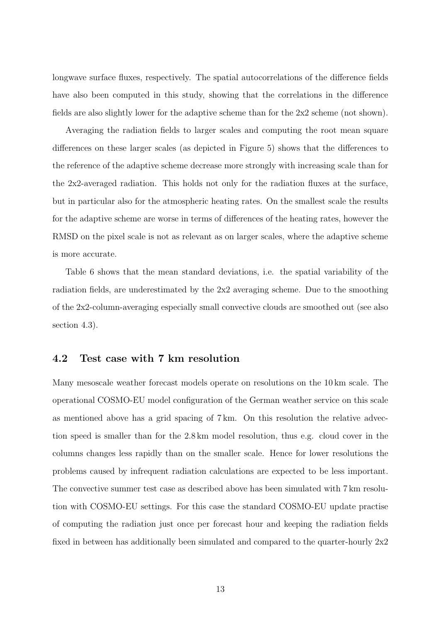longwave surface fluxes, respectively. The spatial autocorrelations of the difference fields have also been computed in this study, showing that the correlations in the difference fields are also slightly lower for the adaptive scheme than for the 2x2 scheme (not shown).

Averaging the radiation fields to larger scales and computing the root mean square differences on these larger scales (as depicted in Figure 5) shows that the differences to the reference of the adaptive scheme decrease more strongly with increasing scale than for the 2x2-averaged radiation. This holds not only for the radiation fluxes at the surface, but in particular also for the atmospheric heating rates. On the smallest scale the results for the adaptive scheme are worse in terms of differences of the heating rates, however the RMSD on the pixel scale is not as relevant as on larger scales, where the adaptive scheme is more accurate.

Table 6 shows that the mean standard deviations, i.e. the spatial variability of the radiation fields, are underestimated by the 2x2 averaging scheme. Due to the smoothing of the 2x2-column-averaging especially small convective clouds are smoothed out (see also section 4.3).

#### 4.2 Test case with 7 km resolution

Many mesoscale weather forecast models operate on resolutions on the 10 km scale. The operational COSMO-EU model configuration of the German weather service on this scale as mentioned above has a grid spacing of 7 km. On this resolution the relative advection speed is smaller than for the 2.8 km model resolution, thus e.g. cloud cover in the columns changes less rapidly than on the smaller scale. Hence for lower resolutions the problems caused by infrequent radiation calculations are expected to be less important. The convective summer test case as described above has been simulated with 7 km resolution with COSMO-EU settings. For this case the standard COSMO-EU update practise of computing the radiation just once per forecast hour and keeping the radiation fields fixed in between has additionally been simulated and compared to the quarter-hourly 2x2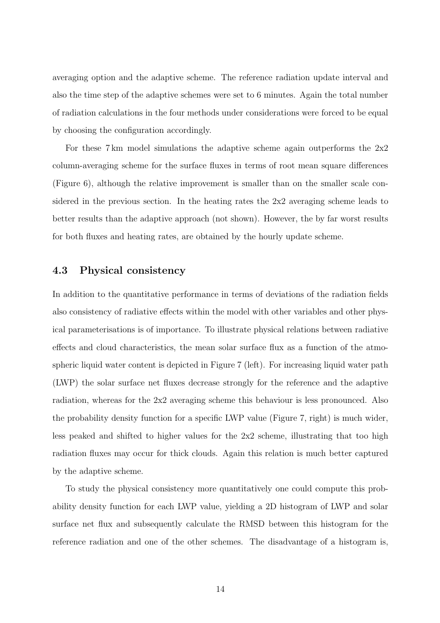averaging option and the adaptive scheme. The reference radiation update interval and also the time step of the adaptive schemes were set to 6 minutes. Again the total number of radiation calculations in the four methods under considerations were forced to be equal by choosing the configuration accordingly.

For these 7 km model simulations the adaptive scheme again outperforms the 2x2 column-averaging scheme for the surface fluxes in terms of root mean square differences (Figure 6), although the relative improvement is smaller than on the smaller scale considered in the previous section. In the heating rates the 2x2 averaging scheme leads to better results than the adaptive approach (not shown). However, the by far worst results for both fluxes and heating rates, are obtained by the hourly update scheme.

#### 4.3 Physical consistency

In addition to the quantitative performance in terms of deviations of the radiation fields also consistency of radiative effects within the model with other variables and other physical parameterisations is of importance. To illustrate physical relations between radiative effects and cloud characteristics, the mean solar surface flux as a function of the atmospheric liquid water content is depicted in Figure 7 (left). For increasing liquid water path (LWP) the solar surface net fluxes decrease strongly for the reference and the adaptive radiation, whereas for the 2x2 averaging scheme this behaviour is less pronounced. Also the probability density function for a specific LWP value (Figure 7, right) is much wider, less peaked and shifted to higher values for the 2x2 scheme, illustrating that too high radiation fluxes may occur for thick clouds. Again this relation is much better captured by the adaptive scheme.

To study the physical consistency more quantitatively one could compute this probability density function for each LWP value, yielding a 2D histogram of LWP and solar surface net flux and subsequently calculate the RMSD between this histogram for the reference radiation and one of the other schemes. The disadvantage of a histogram is,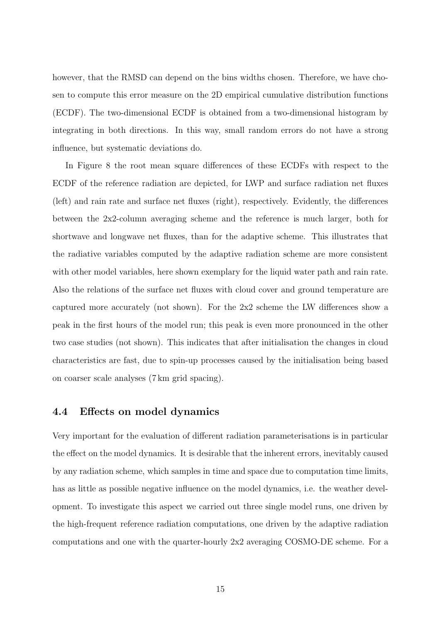however, that the RMSD can depend on the bins widths chosen. Therefore, we have chosen to compute this error measure on the 2D empirical cumulative distribution functions (ECDF). The two-dimensional ECDF is obtained from a two-dimensional histogram by integrating in both directions. In this way, small random errors do not have a strong influence, but systematic deviations do.

In Figure 8 the root mean square differences of these ECDFs with respect to the ECDF of the reference radiation are depicted, for LWP and surface radiation net fluxes (left) and rain rate and surface net fluxes (right), respectively. Evidently, the differences between the 2x2-column averaging scheme and the reference is much larger, both for shortwave and longwave net fluxes, than for the adaptive scheme. This illustrates that the radiative variables computed by the adaptive radiation scheme are more consistent with other model variables, here shown exemplary for the liquid water path and rain rate. Also the relations of the surface net fluxes with cloud cover and ground temperature are captured more accurately (not shown). For the 2x2 scheme the LW differences show a peak in the first hours of the model run; this peak is even more pronounced in the other two case studies (not shown). This indicates that after initialisation the changes in cloud characteristics are fast, due to spin-up processes caused by the initialisation being based on coarser scale analyses (7 km grid spacing).

### 4.4 Effects on model dynamics

Very important for the evaluation of different radiation parameterisations is in particular the effect on the model dynamics. It is desirable that the inherent errors, inevitably caused by any radiation scheme, which samples in time and space due to computation time limits, has as little as possible negative influence on the model dynamics, i.e. the weather development. To investigate this aspect we carried out three single model runs, one driven by the high-frequent reference radiation computations, one driven by the adaptive radiation computations and one with the quarter-hourly 2x2 averaging COSMO-DE scheme. For a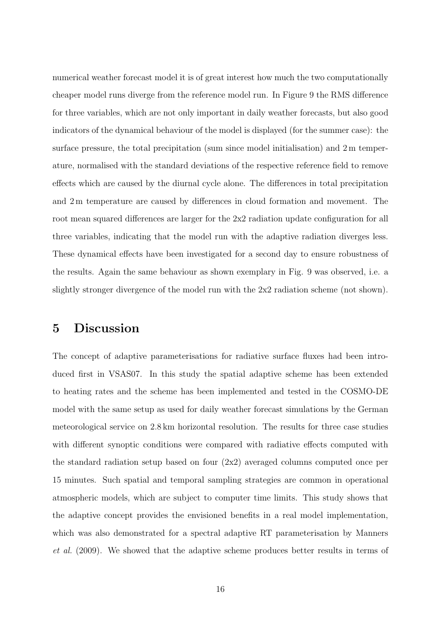numerical weather forecast model it is of great interest how much the two computationally cheaper model runs diverge from the reference model run. In Figure 9 the RMS difference for three variables, which are not only important in daily weather forecasts, but also good indicators of the dynamical behaviour of the model is displayed (for the summer case): the surface pressure, the total precipitation (sum since model initialisation) and 2 m temperature, normalised with the standard deviations of the respective reference field to remove effects which are caused by the diurnal cycle alone. The differences in total precipitation and 2 m temperature are caused by differences in cloud formation and movement. The root mean squared differences are larger for the 2x2 radiation update configuration for all three variables, indicating that the model run with the adaptive radiation diverges less. These dynamical effects have been investigated for a second day to ensure robustness of the results. Again the same behaviour as shown exemplary in Fig. 9 was observed, i.e. a slightly stronger divergence of the model run with the 2x2 radiation scheme (not shown).

## 5 Discussion

The concept of adaptive parameterisations for radiative surface fluxes had been introduced first in VSAS07. In this study the spatial adaptive scheme has been extended to heating rates and the scheme has been implemented and tested in the COSMO-DE model with the same setup as used for daily weather forecast simulations by the German meteorological service on 2.8 km horizontal resolution. The results for three case studies with different synoptic conditions were compared with radiative effects computed with the standard radiation setup based on four (2x2) averaged columns computed once per 15 minutes. Such spatial and temporal sampling strategies are common in operational atmospheric models, which are subject to computer time limits. This study shows that the adaptive concept provides the envisioned benefits in a real model implementation, which was also demonstrated for a spectral adaptive RT parameterisation by Manners et al. (2009). We showed that the adaptive scheme produces better results in terms of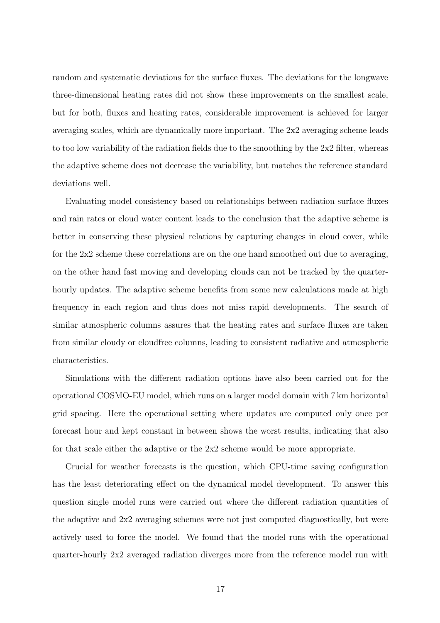random and systematic deviations for the surface fluxes. The deviations for the longwave three-dimensional heating rates did not show these improvements on the smallest scale, but for both, fluxes and heating rates, considerable improvement is achieved for larger averaging scales, which are dynamically more important. The 2x2 averaging scheme leads to too low variability of the radiation fields due to the smoothing by the 2x2 filter, whereas the adaptive scheme does not decrease the variability, but matches the reference standard deviations well.

Evaluating model consistency based on relationships between radiation surface fluxes and rain rates or cloud water content leads to the conclusion that the adaptive scheme is better in conserving these physical relations by capturing changes in cloud cover, while for the 2x2 scheme these correlations are on the one hand smoothed out due to averaging, on the other hand fast moving and developing clouds can not be tracked by the quarterhourly updates. The adaptive scheme benefits from some new calculations made at high frequency in each region and thus does not miss rapid developments. The search of similar atmospheric columns assures that the heating rates and surface fluxes are taken from similar cloudy or cloudfree columns, leading to consistent radiative and atmospheric characteristics.

Simulations with the different radiation options have also been carried out for the operational COSMO-EU model, which runs on a larger model domain with 7 km horizontal grid spacing. Here the operational setting where updates are computed only once per forecast hour and kept constant in between shows the worst results, indicating that also for that scale either the adaptive or the 2x2 scheme would be more appropriate.

Crucial for weather forecasts is the question, which CPU-time saving configuration has the least deteriorating effect on the dynamical model development. To answer this question single model runs were carried out where the different radiation quantities of the adaptive and 2x2 averaging schemes were not just computed diagnostically, but were actively used to force the model. We found that the model runs with the operational quarter-hourly 2x2 averaged radiation diverges more from the reference model run with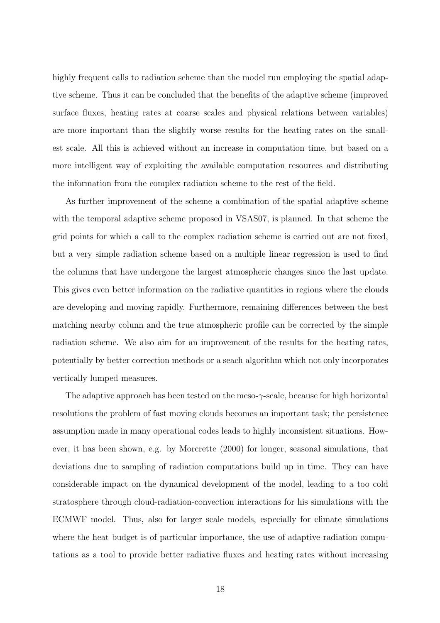highly frequent calls to radiation scheme than the model run employing the spatial adaptive scheme. Thus it can be concluded that the benefits of the adaptive scheme (improved surface fluxes, heating rates at coarse scales and physical relations between variables) are more important than the slightly worse results for the heating rates on the smallest scale. All this is achieved without an increase in computation time, but based on a more intelligent way of exploiting the available computation resources and distributing the information from the complex radiation scheme to the rest of the field.

As further improvement of the scheme a combination of the spatial adaptive scheme with the temporal adaptive scheme proposed in VSAS07, is planned. In that scheme the grid points for which a call to the complex radiation scheme is carried out are not fixed, but a very simple radiation scheme based on a multiple linear regression is used to find the columns that have undergone the largest atmospheric changes since the last update. This gives even better information on the radiative quantities in regions where the clouds are developing and moving rapidly. Furthermore, remaining differences between the best matching nearby colunn and the true atmospheric profile can be corrected by the simple radiation scheme. We also aim for an improvement of the results for the heating rates, potentially by better correction methods or a seach algorithm which not only incorporates vertically lumped measures.

The adaptive approach has been tested on the meso- $\gamma$ -scale, because for high horizontal resolutions the problem of fast moving clouds becomes an important task; the persistence assumption made in many operational codes leads to highly inconsistent situations. However, it has been shown, e.g. by Morcrette (2000) for longer, seasonal simulations, that deviations due to sampling of radiation computations build up in time. They can have considerable impact on the dynamical development of the model, leading to a too cold stratosphere through cloud-radiation-convection interactions for his simulations with the ECMWF model. Thus, also for larger scale models, especially for climate simulations where the heat budget is of particular importance, the use of adaptive radiation computations as a tool to provide better radiative fluxes and heating rates without increasing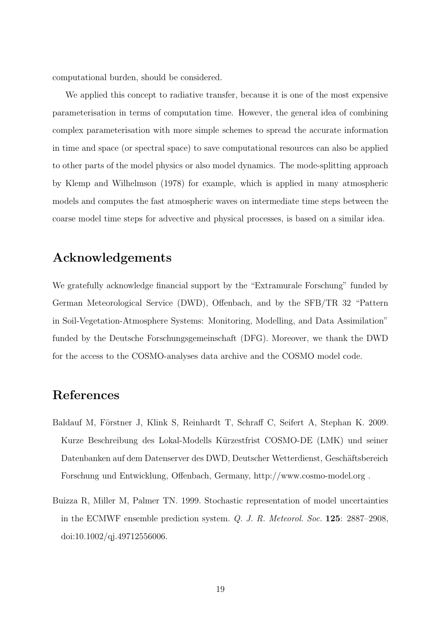computational burden, should be considered.

We applied this concept to radiative transfer, because it is one of the most expensive parameterisation in terms of computation time. However, the general idea of combining complex parameterisation with more simple schemes to spread the accurate information in time and space (or spectral space) to save computational resources can also be applied to other parts of the model physics or also model dynamics. The mode-splitting approach by Klemp and Wilhelmson (1978) for example, which is applied in many atmospheric models and computes the fast atmospheric waves on intermediate time steps between the coarse model time steps for advective and physical processes, is based on a similar idea.

## Acknowledgements

We gratefully acknowledge financial support by the "Extramurale Forschung" funded by German Meteorological Service (DWD), Offenbach, and by the SFB/TR 32 "Pattern in Soil-Vegetation-Atmosphere Systems: Monitoring, Modelling, and Data Assimilation" funded by the Deutsche Forschungsgemeinschaft (DFG). Moreover, we thank the DWD for the access to the COSMO-analyses data archive and the COSMO model code.

## References

- Baldauf M, Förstner J, Klink S, Reinhardt T, Schraff C, Seifert A, Stephan K. 2009. Kurze Beschreibung des Lokal-Modells Kürzestfrist COSMO-DE (LMK) und seiner Datenbanken auf dem Datenserver des DWD, Deutscher Wetterdienst, Geschäftsbereich Forschung und Entwicklung, Offenbach, Germany, http://www.cosmo-model.org .
- Buizza R, Miller M, Palmer TN. 1999. Stochastic representation of model uncertainties in the ECMWF ensemble prediction system. Q. J. R. Meteorol. Soc. 125: 2887–2908, doi:10.1002/qj.49712556006.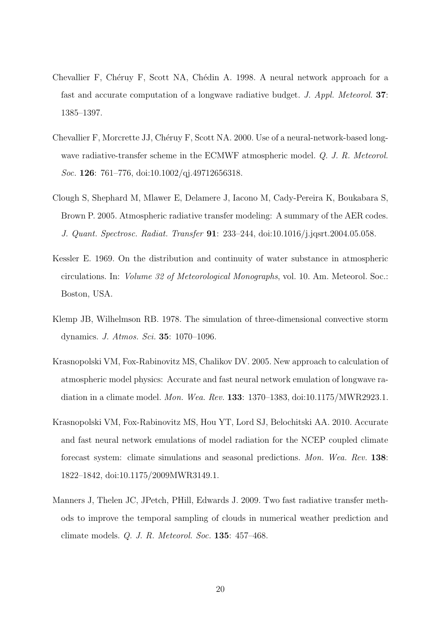- Chevallier F, Chéruy F, Scott NA, Chédin A. 1998. A neural network approach for a fast and accurate computation of a longwave radiative budget. J. Appl. Meteorol. 37: 1385–1397.
- Chevallier F, Morcrette JJ, Chéruy F, Scott NA. 2000. Use of a neural-network-based longwave radiative-transfer scheme in the ECMWF atmospheric model. Q. J. R. Meteorol. Soc. 126: 761–776, doi:10.1002/qj.49712656318.
- Clough S, Shephard M, Mlawer E, Delamere J, Iacono M, Cady-Pereira K, Boukabara S, Brown P. 2005. Atmospheric radiative transfer modeling: A summary of the AER codes. J. Quant. Spectrosc. Radiat. Transfer 91: 233–244, doi:10.1016/j.jqsrt.2004.05.058.
- Kessler E. 1969. On the distribution and continuity of water substance in atmospheric circulations. In: Volume 32 of Meteorological Monographs, vol. 10. Am. Meteorol. Soc.: Boston, USA.
- Klemp JB, Wilhelmson RB. 1978. The simulation of three-dimensional convective storm dynamics. J. Atmos. Sci. 35: 1070–1096.
- Krasnopolski VM, Fox-Rabinovitz MS, Chalikov DV. 2005. New approach to calculation of atmospheric model physics: Accurate and fast neural network emulation of longwave radiation in a climate model. Mon. Wea. Rev. 133: 1370–1383, doi:10.1175/MWR2923.1.
- Krasnopolski VM, Fox-Rabinovitz MS, Hou YT, Lord SJ, Belochitski AA. 2010. Accurate and fast neural network emulations of model radiation for the NCEP coupled climate forecast system: climate simulations and seasonal predictions. Mon. Wea. Rev. 138: 1822–1842, doi:10.1175/2009MWR3149.1.
- Manners J, Thelen JC, JPetch, PHill, Edwards J. 2009. Two fast radiative transfer methods to improve the temporal sampling of clouds in numerical weather prediction and climate models. Q. J. R. Meteorol. Soc. 135: 457–468.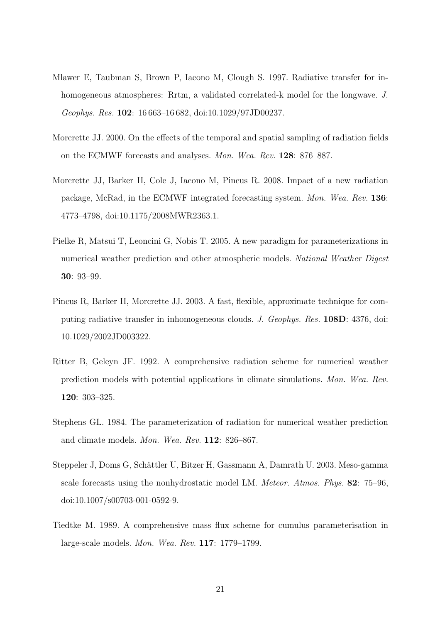- Mlawer E, Taubman S, Brown P, Iacono M, Clough S. 1997. Radiative transfer for inhomogeneous atmospheres: Rrtm, a validated correlated-k model for the longwave. J. Geophys. Res. 102: 16 663–16 682, doi:10.1029/97JD00237.
- Morcrette JJ. 2000. On the effects of the temporal and spatial sampling of radiation fields on the ECMWF forecasts and analyses. Mon. Wea. Rev. 128: 876–887.
- Morcrette JJ, Barker H, Cole J, Iacono M, Pincus R. 2008. Impact of a new radiation package, McRad, in the ECMWF integrated forecasting system. Mon. Wea. Rev. 136: 4773–4798, doi:10.1175/2008MWR2363.1.
- Pielke R, Matsui T, Leoncini G, Nobis T. 2005. A new paradigm for parameterizations in numerical weather prediction and other atmospheric models. National Weather Digest 30: 93–99.
- Pincus R, Barker H, Morcrette JJ. 2003. A fast, flexible, approximate technique for computing radiative transfer in inhomogeneous clouds. J. Geophys. Res. 108D: 4376, doi: 10.1029/2002JD003322.
- Ritter B, Geleyn JF. 1992. A comprehensive radiation scheme for numerical weather prediction models with potential applications in climate simulations. Mon. Wea. Rev. 120: 303–325.
- Stephens GL. 1984. The parameterization of radiation for numerical weather prediction and climate models. Mon. Wea. Rev. 112: 826–867.
- Steppeler J, Doms G, Schättler U, Bitzer H, Gassmann A, Damrath U. 2003. Meso-gamma scale forecasts using the nonhydrostatic model LM. Meteor. Atmos. Phys. 82: 75–96, doi:10.1007/s00703-001-0592-9.
- Tiedtke M. 1989. A comprehensive mass flux scheme for cumulus parameterisation in large-scale models. Mon. Wea. Rev. 117: 1779–1799.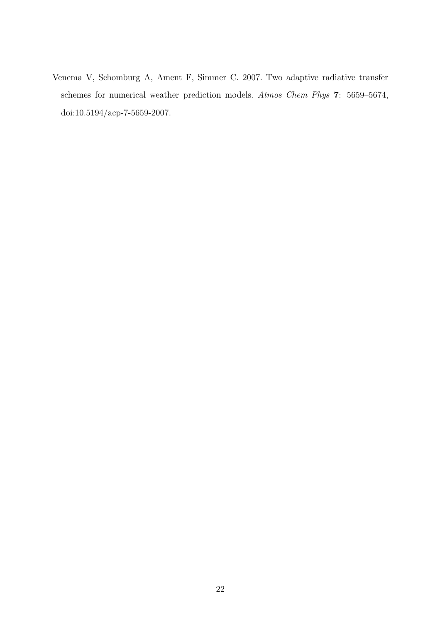Venema V, Schomburg A, Ament F, Simmer C. 2007. Two adaptive radiative transfer schemes for numerical weather prediction models. Atmos Chem Phys 7: 5659–5674, doi:10.5194/acp-7-5659-2007.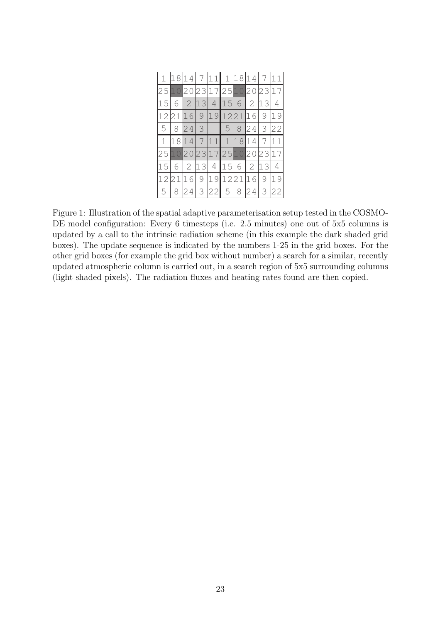|    | 18     | 14                 | $\sqrt{7}$ | 11                   |      |            | 1 18 14     | 7             |    |
|----|--------|--------------------|------------|----------------------|------|------------|-------------|---------------|----|
| 25 |        | 20                 | 23         | 17                   |      | 251020     |             | 23            | 17 |
| 15 | 6      | $\overline{2}$     | 13         | $\overline{4}$       | 15   | $6 \mid 2$ |             | 13            | 4  |
| 12 | 2<br>1 | $\hat{\mathbb{Q}}$ | $69$       | 19                   | 1221 |            | 16          | 9             |    |
| 5  | 8      |                    |            | $24 \mid 3 \mid$ 5 8 |      |            | 24          | 3             | 22 |
|    |        |                    |            |                      |      |            |             |               |    |
| 1  | 1<br>8 | 1                  |            | 4711112              |      |            | $14 \mid 7$ |               |    |
| 25 |        | 20                 | 23         | 172510               |      |            | 20          | 23            |    |
| 15 |        | $\mathbf{2}$       | 13         | $\overline{4}$       | 15   |            | $6 \mid 2$  | 13            | 4  |
| 12 | 21     | 1                  | 69         | 19                   | 1221 |            | 16          | $\mathcal{G}$ |    |

Figure 1: Illustration of the spatial adaptive parameterisation setup tested in the COSMO-DE model configuration: Every 6 timesteps (i.e. 2.5 minutes) one out of  $5x5$  columns is updated by a call to the intrinsic radiation scheme (in this example the dark shaded grid boxes). The update sequence is indicated by the numbers 1-25 in the grid boxes. For the other grid boxes (for example the grid box without number) a search for a similar, recently updated atmospheric column is carried out, in a search region of 5x5 surrounding columns (light shaded pixels). The radiation fluxes and heating rates found are then copied.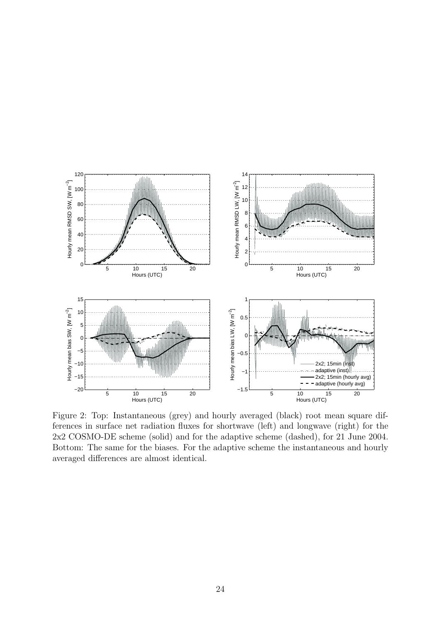

Figure 2: Top: Instantaneous (grey) and hourly averaged (black) root mean square differences in surface net radiation fluxes for shortwave (left) and longwave (right) for the 2x2 COSMO-DE scheme (solid) and for the adaptive scheme (dashed), for 21 June 2004. Bottom: The same for the biases. For the adaptive scheme the instantaneous and hourly averaged differences are almost identical.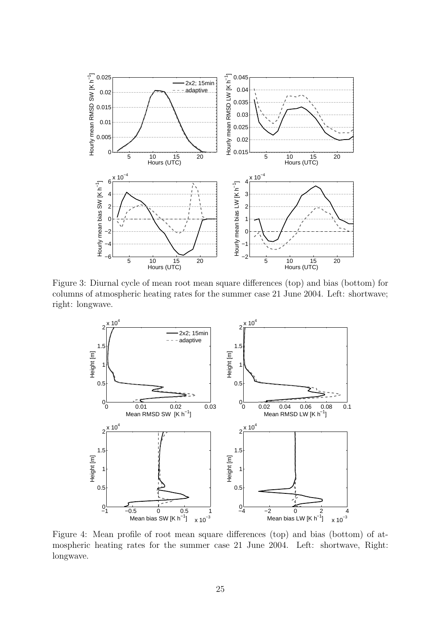

Figure 3: Diurnal cycle of mean root mean square differences (top) and bias (bottom) for columns of atmospheric heating rates for the summer case 21 June 2004. Left: shortwave; right: longwave.



Figure 4: Mean profile of root mean square differences (top) and bias (bottom) of atmospheric heating rates for the summer case 21 June 2004. Left: shortwave, Right: longwave.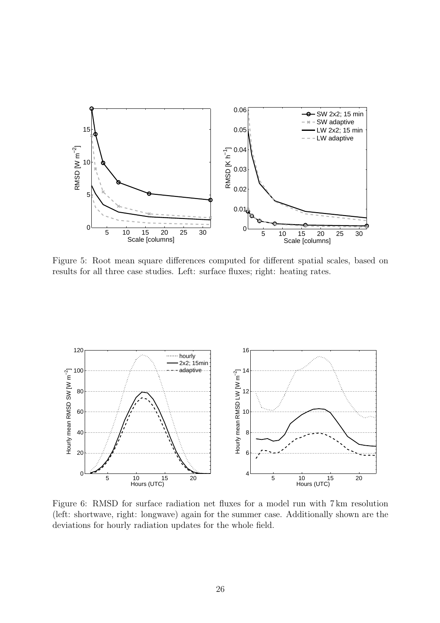

Figure 5: Root mean square differences computed for different spatial scales, based on results for all three case studies. Left: surface fluxes; right: heating rates.



Figure 6: RMSD for surface radiation net fluxes for a model run with 7 km resolution (left: shortwave, right: longwave) again for the summer case. Additionally shown are the deviations for hourly radiation updates for the whole field.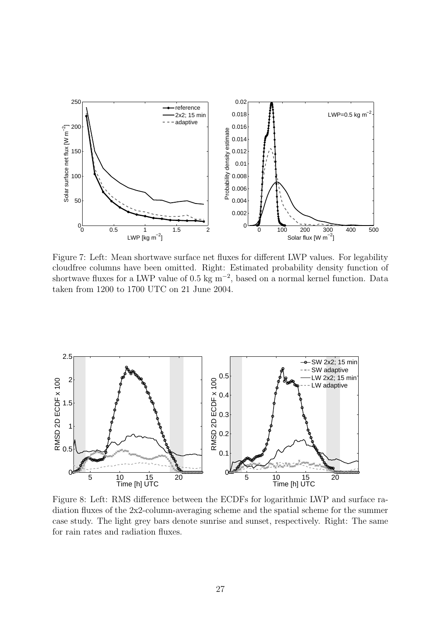

Figure 7: Left: Mean shortwave surface net fluxes for different LWP values. For legability cloudfree columns have been omitted. Right: Estimated probability density function of shortwave fluxes for a LWP value of 0.5 kg m<sup>−</sup><sup>2</sup> , based on a normal kernel function. Data taken from 1200 to 1700 UTC on 21 June 2004.



Figure 8: Left: RMS difference between the ECDFs for logarithmic LWP and surface radiation fluxes of the 2x2-column-averaging scheme and the spatial scheme for the summer case study. The light grey bars denote sunrise and sunset, respectively. Right: The same for rain rates and radiation fluxes.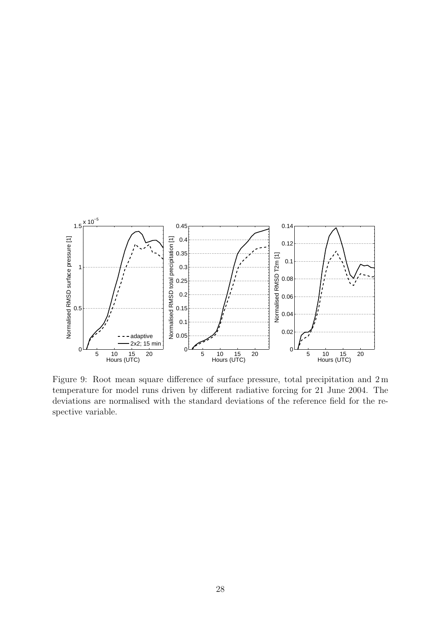

Figure 9: Root mean square difference of surface pressure, total precipitation and 2 m temperature for model runs driven by different radiative forcing for 21 June 2004. The deviations are normalised with the standard deviations of the reference field for the respective variable.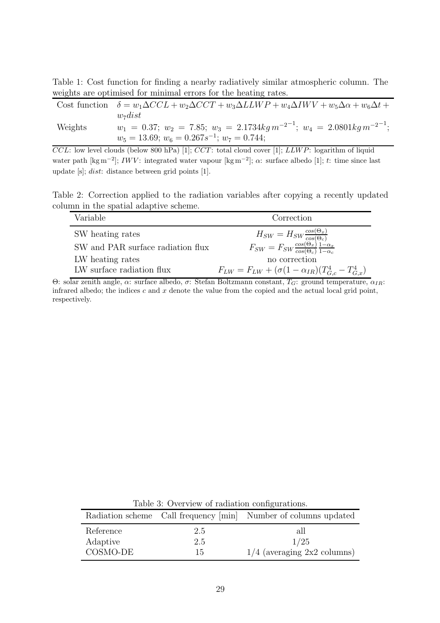Table 1: Cost function for finding a nearby radiatively similar atmospheric column. The weights are optimised for minimal errors for the heating rates.

|         | Cost function $\delta = w_1 \Delta CCL + w_2 \Delta CCT + w_3 \Delta L LWP + w_4 \Delta I WV + w_5 \Delta \alpha + w_6 \Delta t +$ |
|---------|------------------------------------------------------------------------------------------------------------------------------------|
|         | $w_7$ <i>dist</i>                                                                                                                  |
| Weights | $w_1 = 0.37; w_2 = 7.85; w_3 = 2.1734kg m^{-2^{-1}}; w_4 = 2.0801kg m^{-2^{-1}};$                                                  |
|         | $w_5 = 13.69$ ; $w_6 = 0.267s^{-1}$ ; $w_7 = 0.744$ ;                                                                              |

 $CCL$ : low level clouds (below 800 hPa) [1];  $CCT$ : total cloud cover [1];  $LLWP$ : logarithm of liquid water path [kg m<sup>-2</sup>]; IWV: integrated water vapour [kg m<sup>-2</sup>];  $\alpha$ : surface albedo [1]; t: time since last update [s]; dist: distance between grid points [1].

Table 2: Correction applied to the radiation variables after copying a recently updated column in the spatial adaptive scheme.

| Variable                          | Correction                                                                                                                                       |
|-----------------------------------|--------------------------------------------------------------------------------------------------------------------------------------------------|
| SW heating rates                  |                                                                                                                                                  |
| SW and PAR surface radiation flux | $H_{SW} = H_{SW} \frac{\cos(\Theta_x)}{\cos(\Theta_c)}$<br>$F_{SW} = F_{SW} \frac{\cos(\Theta_x)}{\cos(\Theta_c)} \frac{1-\alpha_x}{1-\alpha_c}$ |
| LW heating rates                  | no correction                                                                                                                                    |
| LW surface radiation flux         | $F_{LW} = F_{LW} + (\sigma (1 - \alpha_{IR}) (T_{G,c}^4 - T_{G,x}^4))$                                                                           |

Θ: solar zenith angle,  $\alpha$ : surface albedo,  $\sigma$ : Stefan Boltzmann constant,  $T_G$ : ground temperature,  $\alpha_{IR}$ : infrared albedo; the indices  $c$  and  $x$  denote the value from the copied and the actual local grid point, respectively.

Table 3: Overview of radiation configurations.

|           |     | Radiation scheme Call frequency [min] Number of columns updated |
|-----------|-----|-----------------------------------------------------------------|
| Reference | 2.5 | all                                                             |
| Adaptive  | 2.5 | 1/25                                                            |
| COSMO-DE  | 15  | $1/4$ (averaging $2x2$ columns)                                 |